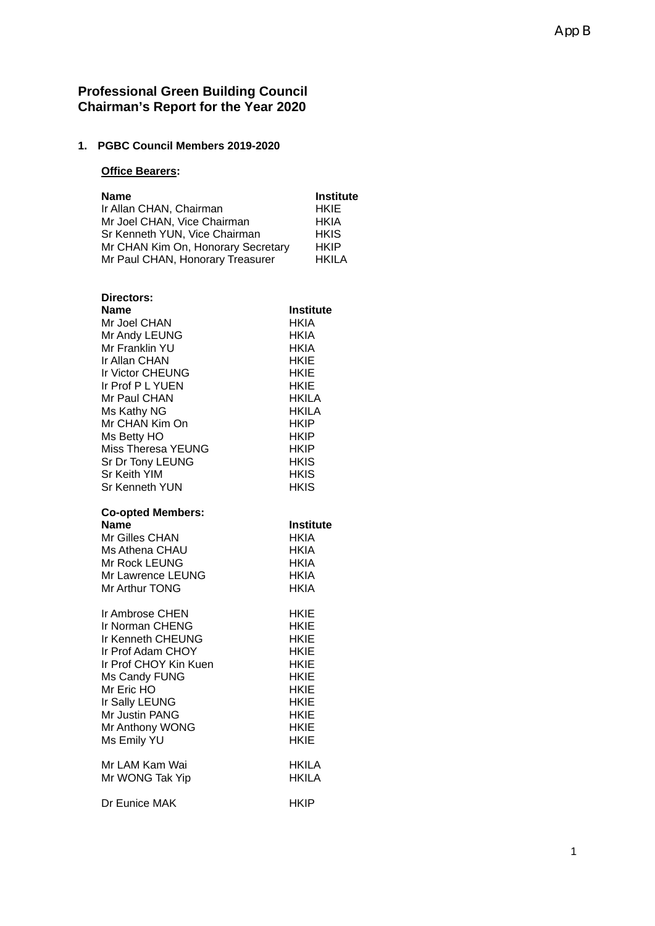# **Professional Green Building Council Chairman's Report for the Year 2020**

# **1. PGBC Council Members 2019-2020**

## **Office Bearers:**

| <b>Name</b>                        | <b>Institute</b> |
|------------------------------------|------------------|
| Ir Allan CHAN, Chairman            | HKIE             |
| Mr Joel CHAN, Vice Chairman        | HKIA             |
| Sr Kenneth YUN, Vice Chairman      | <b>HKIS</b>      |
| Mr CHAN Kim On, Honorary Secretary | <b>HKIP</b>      |
| Mr Paul CHAN, Honorary Treasurer   | <b>HKILA</b>     |

| Directors:               |                  |
|--------------------------|------------------|
| Name                     | Institute        |
| Mr Joel CHAN             | HKIA             |
| Mr Andy LEUNG            | HKIA             |
| Mr Franklin YU           | HKIA             |
| Ir Allan CHAN            | HKIE             |
| <b>Ir Victor CHEUNG</b>  | HKIE             |
| Ir Prof P L YUEN         | HKIE             |
| Mr Paul CHAN             | <b>HKILA</b>     |
| Ms Kathy NG              | HKILA            |
| Mr CHAN Kim On           | HKIP             |
| Ms Betty HO              | HKIP             |
| Miss Theresa YEUNG       | <b>HKIP</b>      |
| Sr Dr Tony LEUNG         | HKIS             |
| <b>Sr Keith YIM</b>      | HKIS             |
| <b>Sr Kenneth YUN</b>    | <b>HKIS</b>      |
| <b>Co-opted Members:</b> |                  |
| <b>Name</b>              | <b>Institute</b> |
| Mr Gilles CHAN           | HKIA             |
| Ms Athena CHAU           | HKIA             |
| Mr Rock LEUNG            | HKIA             |
| Mr Lawrence LEUNG        | HKIA             |
| Mr Arthur TONG           | HKIA             |
| Ir Ambrose CHEN          | <b>HKIE</b>      |
| Ir Norman CHENG          | <b>HKIE</b>      |
| Ir Kenneth CHEUNG        | HKIE             |
| Ir Prof Adam CHOY        | HKIE             |
| Ir Prof CHOY Kin Kuen    | HKIE             |
| Ms Candy FUNG            | <b>HKIE</b>      |
| Mr Eric HO               | <b>HKIE</b>      |
| Ir Sally LEUNG           | HKIE             |
| Mr Justin PANG           | HKIE             |
| Mr Anthony WONG          | <b>HKIE</b>      |
| Ms Emily YU              | HKIE             |
| Mr LAM Kam Wai           | <b>HKILA</b>     |
| Mr WONG Tak Yip          | <b>HKILA</b>     |
| Dr Eunice MAK            | HKIP             |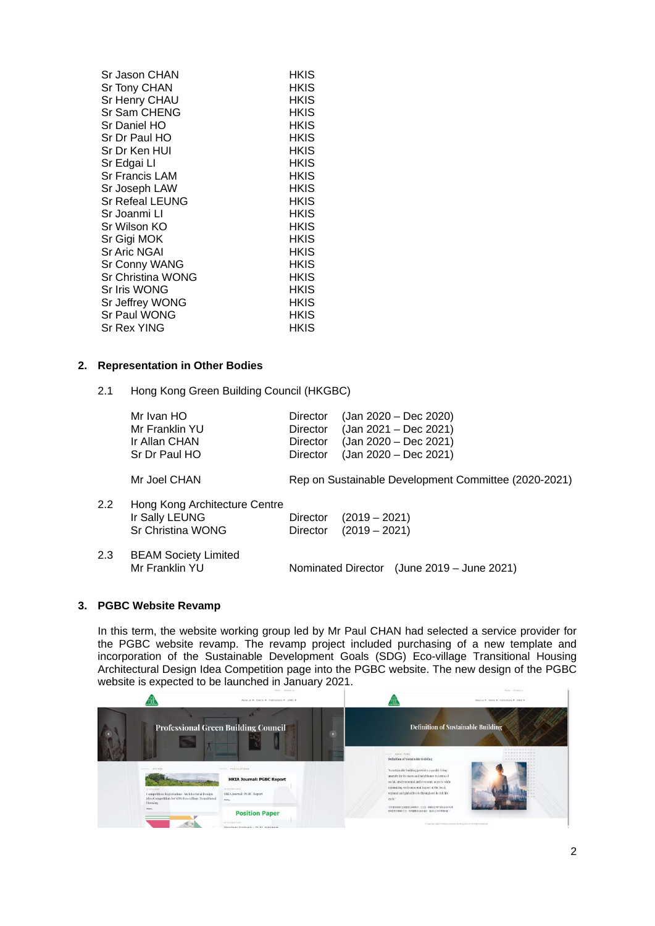| Sr Jason CHAN          | HKIS |
|------------------------|------|
| Sr Tony CHAN           | HKIS |
| Sr Henry CHAU          | HKIS |
| Sr Sam CHENG           | HKIS |
| Sr Daniel HO           | HKIS |
| Sr Dr Paul HO          | HKIS |
| Sr Dr Ken HUI          | HKIS |
| Sr Edgai Ll            | HKIS |
| Sr Francis LAM         | HKIS |
| Sr Joseph LAW          | HKIS |
| <b>Sr Refeal LEUNG</b> | HKIS |
| Sr Joanmi Ll           | HKIS |
| Sr Wilson KO           | HKIS |
| Sr Gigi MOK            | HKIS |
| <b>Sr Aric NGAI</b>    | HKIS |
| Sr Conny WANG          | HKIS |
| Sr Christina WONG      | HKIS |
| Sr Iris WONG           | HKIS |
| Sr Jeffrey WONG        | HKIS |
| Sr Paul WONG           | HKIS |
| Sr Rex YING            | HKIS |
|                        |      |

### **2. Representation in Other Bodies**

2.1 Hong Kong Green Building Council (HKGBC)

|         | Mr Ivan HO<br>Mr Franklin YU<br>Ir Allan CHAN<br>Sr Dr Paul HO       | <b>Director</b><br>Director<br><b>Director</b><br><b>Director</b> | (Jan 2020 – Dec 2020)<br>(Jan 2021 - Dec 2021)<br>(Jan 2020 - Dec 2021)<br>$(Jan 2020 - Dec 2021)$ |
|---------|----------------------------------------------------------------------|-------------------------------------------------------------------|----------------------------------------------------------------------------------------------------|
|         | Mr Joel CHAN                                                         |                                                                   | Rep on Sustainable Development Committee (2020-2021)                                               |
| $2.2\,$ | Hong Kong Architecture Centre<br>Ir Sally LEUNG<br>Sr Christina WONG | <b>Director</b><br><b>Director</b>                                | $(2019 - 2021)$<br>$(2019 - 2021)$                                                                 |
| 2.3     | <b>BEAM Society Limited</b><br>Mr Franklin YU                        | Nominated Director                                                | (June 2019 – June 2021)                                                                            |

### **3. PGBC Website Revamp**

In this term, the website working group led by Mr Paul CHAN had selected a service provider for the PGBC website revamp. The revamp project included purchasing of a new template and incorporation of the Sustainable Development Goals (SDG) Eco-village Transitional Housing Architectural Design Idea Competition page into the PGBC website. The new design of the PGBC website is expected to be launched in January 2021.

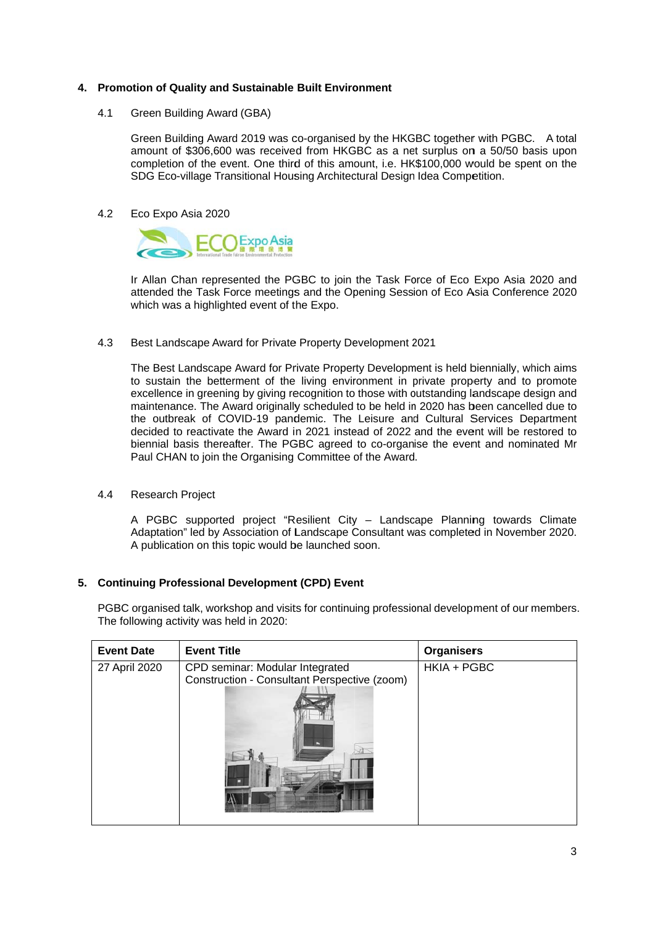### 4. Promotion of Quality and Sustainable Built Environment

 $4.1$ Green Building Award (GBA)

> Green Building Award 2019 was co-organised by the HKGBC together with PGBC. A total amount of \$306,600 was received from HKGBC as a net surplus on a 50/50 basis upon completion of the event. One third of this amount, i.e. HK\$100,000 would be spent on the SDG Eco-village Transitional Housing Architectural Design Idea Competition.

Eco Expo Asia 2020  $4.2$ 



Ir Allan Chan represented the PGBC to join the Task Force of Eco Expo Asia 2020 and attended the Task Force meetings and the Opening Session of Eco Asia Conference 2020 which was a highlighted event of the Expo.

#### Best Landscape Award for Private Property Development 2021 4.3

The Best Landscape Award for Private Property Development is held biennially, which aims to sustain the betterment of the living environment in private property and to promote excellence in greening by giving recognition to those with outstanding landscape design and maintenance. The Award originally scheduled to be held in 2020 has been cancelled due to the outbreak of COVID-19 pandemic. The Leisure and Cultural Services Department decided to reactivate the Award in 2021 instead of 2022 and the event will be restored to biennial basis thereafter. The PGBC agreed to co-organise the event and nominated Mr Paul CHAN to join the Organising Committee of the Award.

#### 4.4 Research Project

A PGBC supported project "Resilient City - Landscape Planning towards Climate Adaptation" led by Association of Landscape Consultant was completed in November 2020. A publication on this topic would be launched soon.

### 5. Continuing Professional Development (CPD) Event

PGBC organised talk, workshop and visits for continuing professional development of our members. The following activity was held in 2020:

| <b>Event Date</b> | <b>Event Title</b>                                                              | <b>Organisers</b> |
|-------------------|---------------------------------------------------------------------------------|-------------------|
| 27 April 2020     | CPD seminar: Modular Integrated<br>Construction - Consultant Perspective (zoom) | HKIA + PGBC       |